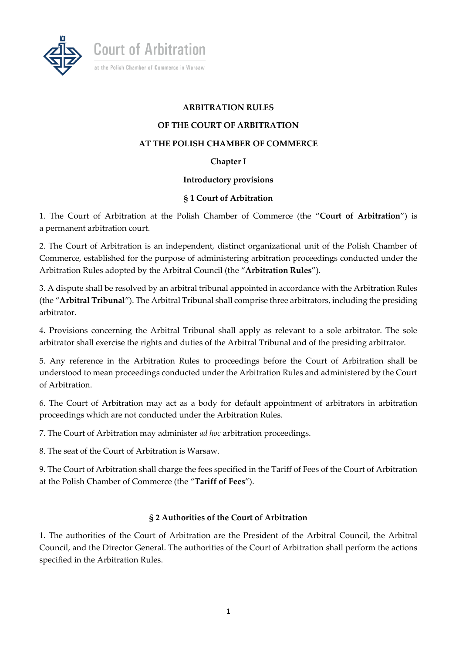

**Court of Arbitration** 

at the Polish Chamber of Commerce in Warsaw

#### **ARBITRATION RULES**

#### **OF THE COURT OF ARBITRATION**

#### **AT THE POLISH CHAMBER OF COMMERCE**

#### **Chapter I**

#### **Introductory provisions**

#### **§ 1 Court of Arbitration**

1. The Court of Arbitration at the Polish Chamber of Commerce (the "**Court of Arbitration**") is a permanent arbitration court.

2. The Court of Arbitration is an independent, distinct organizational unit of the Polish Chamber of Commerce, established for the purpose of administering arbitration proceedings conducted under the Arbitration Rules adopted by the Arbitral Council (the "**Arbitration Rules**").

3. A dispute shall be resolved by an arbitral tribunal appointed in accordance with the Arbitration Rules (the "**Arbitral Tribunal**"). The Arbitral Tribunal shall comprise three arbitrators, including the presiding arbitrator.

4. Provisions concerning the Arbitral Tribunal shall apply as relevant to a sole arbitrator. The sole arbitrator shall exercise the rights and duties of the Arbitral Tribunal and of the presiding arbitrator.

5. Any reference in the Arbitration Rules to proceedings before the Court of Arbitration shall be understood to mean proceedings conducted under the Arbitration Rules and administered by the Court of Arbitration.

6. The Court of Arbitration may act as a body for default appointment of arbitrators in arbitration proceedings which are not conducted under the Arbitration Rules.

7. The Court of Arbitration may administer *ad hoc* arbitration proceedings.

8. The seat of the Court of Arbitration is Warsaw.

9. The Court of Arbitration shall charge the fees specified in the Tariff of Fees of the Court of Arbitration at the Polish Chamber of Commerce (the "**Tariff of Fees**").

#### **§ 2 Authorities of the Court of Arbitration**

1. The authorities of the Court of Arbitration are the President of the Arbitral Council, the Arbitral Council, and the Director General. The authorities of the Court of Arbitration shall perform the actions specified in the Arbitration Rules.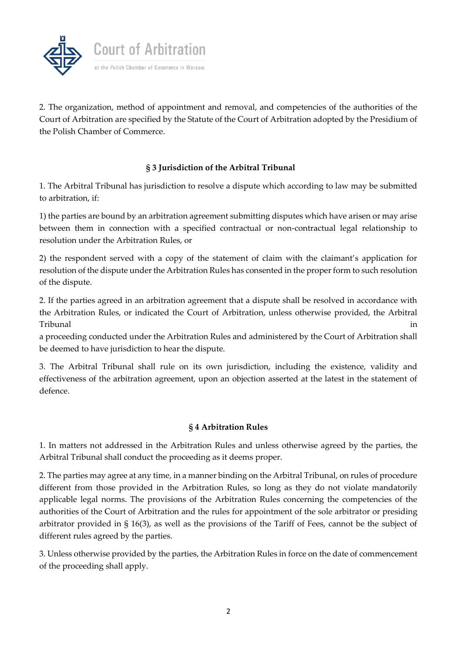

2. The organization, method of appointment and removal, and competencies of the authorities of the Court of Arbitration are specified by the Statute of the Court of Arbitration adopted by the Presidium of the Polish Chamber of Commerce.

# **§ 3 Jurisdiction of the Arbitral Tribunal**

1. The Arbitral Tribunal has jurisdiction to resolve a dispute which according to law may be submitted to arbitration, if:

1) the parties are bound by an arbitration agreement submitting disputes which have arisen or may arise between them in connection with a specified contractual or non-contractual legal relationship to resolution under the Arbitration Rules, or

2) the respondent served with a copy of the statement of claim with the claimant's application for resolution of the dispute under the Arbitration Rules has consented in the proper form to such resolution of the dispute.

2. If the parties agreed in an arbitration agreement that a dispute shall be resolved in accordance with the Arbitration Rules, or indicated the Court of Arbitration, unless otherwise provided, the Arbitral Tribunal in

a proceeding conducted under the Arbitration Rules and administered by the Court of Arbitration shall be deemed to have jurisdiction to hear the dispute.

3. The Arbitral Tribunal shall rule on its own jurisdiction, including the existence, validity and effectiveness of the arbitration agreement, upon an objection asserted at the latest in the statement of defence.

# **§ 4 Arbitration Rules**

1. In matters not addressed in the Arbitration Rules and unless otherwise agreed by the parties, the Arbitral Tribunal shall conduct the proceeding as it deems proper.

2. The parties may agree at any time, in a manner binding on the Arbitral Tribunal, on rules of procedure different from those provided in the Arbitration Rules, so long as they do not violate mandatorily applicable legal norms. The provisions of the Arbitration Rules concerning the competencies of the authorities of the Court of Arbitration and the rules for appointment of the sole arbitrator or presiding arbitrator provided in § 16(3), as well as the provisions of the Tariff of Fees, cannot be the subject of different rules agreed by the parties.

3. Unless otherwise provided by the parties, the Arbitration Rules in force on the date of commencement of the proceeding shall apply.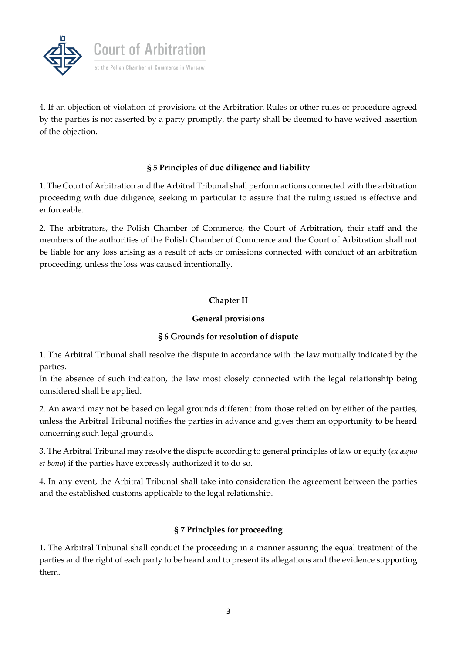

4. If an objection of violation of provisions of the Arbitration Rules or other rules of procedure agreed by the parties is not asserted by a party promptly, the party shall be deemed to have waived assertion of the objection.

# **§ 5 Principles of due diligence and liability**

1. The Court of Arbitration and the Arbitral Tribunal shall perform actions connected with the arbitration proceeding with due diligence, seeking in particular to assure that the ruling issued is effective and enforceable.

2. The arbitrators, the Polish Chamber of Commerce, the Court of Arbitration, their staff and the members of the authorities of the Polish Chamber of Commerce and the Court of Arbitration shall not be liable for any loss arising as a result of acts or omissions connected with conduct of an arbitration proceeding, unless the loss was caused intentionally.

### **Chapter II**

#### **General provisions**

#### **§ 6 Grounds for resolution of dispute**

1. The Arbitral Tribunal shall resolve the dispute in accordance with the law mutually indicated by the parties.

In the absence of such indication, the law most closely connected with the legal relationship being considered shall be applied.

2. An award may not be based on legal grounds different from those relied on by either of the parties, unless the Arbitral Tribunal notifies the parties in advance and gives them an opportunity to be heard concerning such legal grounds.

3. The Arbitral Tribunal may resolve the dispute according to general principles of law or equity (*ex æquo et bono*) if the parties have expressly authorized it to do so.

4. In any event, the Arbitral Tribunal shall take into consideration the agreement between the parties and the established customs applicable to the legal relationship.

# **§ 7 Principles for proceeding**

1. The Arbitral Tribunal shall conduct the proceeding in a manner assuring the equal treatment of the parties and the right of each party to be heard and to present its allegations and the evidence supporting them.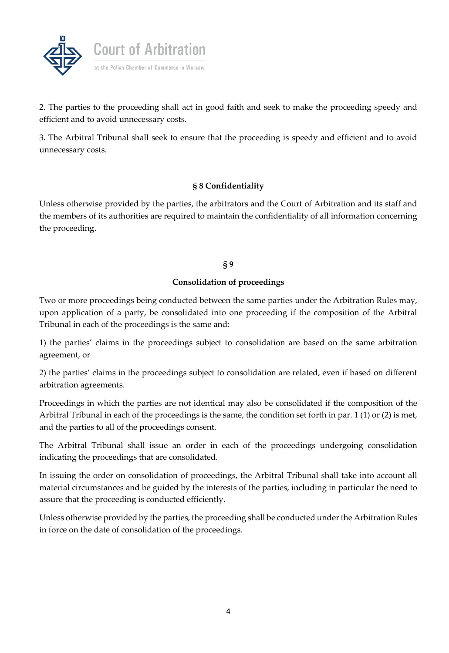

2. The parties to the proceeding shall act in good faith and seek to make the proceeding speedy and efficient and to avoid unnecessary costs.

3. The Arbitral Tribunal shall seek to ensure that the proceeding is speedy and efficient and to avoid unnecessary costs.

# **§ 8 Confidentiality**

Unless otherwise provided by the parties, the arbitrators and the Court of Arbitration and its staff and the members of its authorities are required to maintain the confidentiality of all information concerning the proceeding.

#### **§ 9**

#### **Consolidation of proceedings**

Two or more proceedings being conducted between the same parties under the Arbitration Rules may, upon application of a party, be consolidated into one proceeding if the composition of the Arbitral Tribunal in each of the proceedings is the same and:

1) the parties' claims in the proceedings subject to consolidation are based on the same arbitration agreement, or

2) the parties' claims in the proceedings subject to consolidation are related, even if based on different arbitration agreements.

Proceedings in which the parties are not identical may also be consolidated if the composition of the Arbitral Tribunal in each of the proceedings is the same, the condition set forth in par. 1 (1) or (2) is met, and the parties to all of the proceedings consent.

The Arbitral Tribunal shall issue an order in each of the proceedings undergoing consolidation indicating the proceedings that are consolidated.

In issuing the order on consolidation of proceedings, the Arbitral Tribunal shall take into account all material circumstances and be guided by the interests of the parties, including in particular the need to assure that the proceeding is conducted efficiently.

Unless otherwise provided by the parties, the proceeding shall be conducted under the Arbitration Rules in force on the date of consolidation of the proceedings.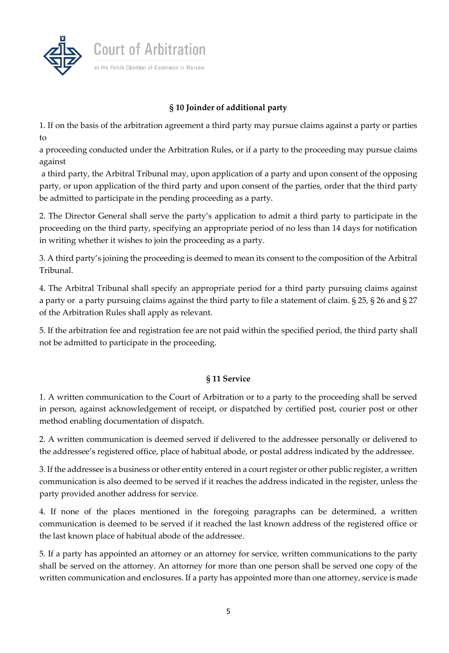

# **§ 10 Joinder of additional party**

1. If on the basis of the arbitration agreement a third party may pursue claims against a party or parties to

a proceeding conducted under the Arbitration Rules, or if a party to the proceeding may pursue claims against

a third party, the Arbitral Tribunal may, upon application of a party and upon consent of the opposing party, or upon application of the third party and upon consent of the parties, order that the third party be admitted to participate in the pending proceeding as a party.

2. The Director General shall serve the party's application to admit a third party to participate in the proceeding on the third party, specifying an appropriate period of no less than 14 days for notification in writing whether it wishes to join the proceeding as a party.

3. A third party's joining the proceeding is deemed to mean its consent to the composition of the Arbitral Tribunal.

4. The Arbitral Tribunal shall specify an appropriate period for a third party pursuing claims against a party or a party pursuing claims against the third party to file a statement of claim. § 25, § 26 and § 27 of the Arbitration Rules shall apply as relevant.

5. If the arbitration fee and registration fee are not paid within the specified period, the third party shall not be admitted to participate in the proceeding.

# **§ 11 Service**

1. A written communication to the Court of Arbitration or to a party to the proceeding shall be served in person, against acknowledgement of receipt, or dispatched by certified post, courier post or other method enabling documentation of dispatch.

2. A written communication is deemed served if delivered to the addressee personally or delivered to the addressee's registered office, place of habitual abode, or postal address indicated by the addressee.

3. If the addressee is a business or other entity entered in a court register or other public register, a written communication is also deemed to be served if it reaches the address indicated in the register, unless the party provided another address for service.

4. If none of the places mentioned in the foregoing paragraphs can be determined, a written communication is deemed to be served if it reached the last known address of the registered office or the last known place of habitual abode of the addressee.

5. If a party has appointed an attorney or an attorney for service, written communications to the party shall be served on the attorney. An attorney for more than one person shall be served one copy of the written communication and enclosures. If a party has appointed more than one attorney, service is made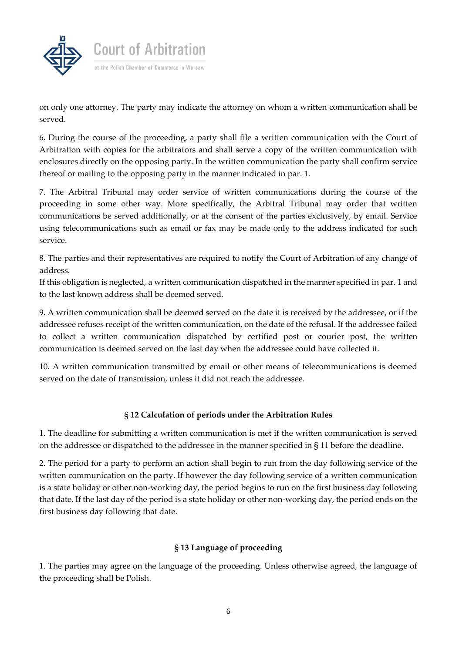

on only one attorney. The party may indicate the attorney on whom a written communication shall be served.

6. During the course of the proceeding, a party shall file a written communication with the Court of Arbitration with copies for the arbitrators and shall serve a copy of the written communication with enclosures directly on the opposing party. In the written communication the party shall confirm service thereof or mailing to the opposing party in the manner indicated in par. 1.

7. The Arbitral Tribunal may order service of written communications during the course of the proceeding in some other way. More specifically, the Arbitral Tribunal may order that written communications be served additionally, or at the consent of the parties exclusively, by email. Service using telecommunications such as email or fax may be made only to the address indicated for such service.

8. The parties and their representatives are required to notify the Court of Arbitration of any change of address.

If this obligation is neglected, a written communication dispatched in the manner specified in par. 1 and to the last known address shall be deemed served.

9. A written communication shall be deemed served on the date it is received by the addressee, or if the addressee refuses receipt of the written communication, on the date of the refusal. If the addressee failed to collect a written communication dispatched by certified post or courier post, the written communication is deemed served on the last day when the addressee could have collected it.

10. A written communication transmitted by email or other means of telecommunications is deemed served on the date of transmission, unless it did not reach the addressee.

# **§ 12 Calculation of periods under the Arbitration Rules**

1. The deadline for submitting a written communication is met if the written communication is served on the addressee or dispatched to the addressee in the manner specified in § 11 before the deadline.

2. The period for a party to perform an action shall begin to run from the day following service of the written communication on the party. If however the day following service of a written communication is a state holiday or other non-working day, the period begins to run on the first business day following that date. If the last day of the period is a state holiday or other non-working day, the period ends on the first business day following that date.

# **§ 13 Language of proceeding**

1. The parties may agree on the language of the proceeding. Unless otherwise agreed, the language of the proceeding shall be Polish.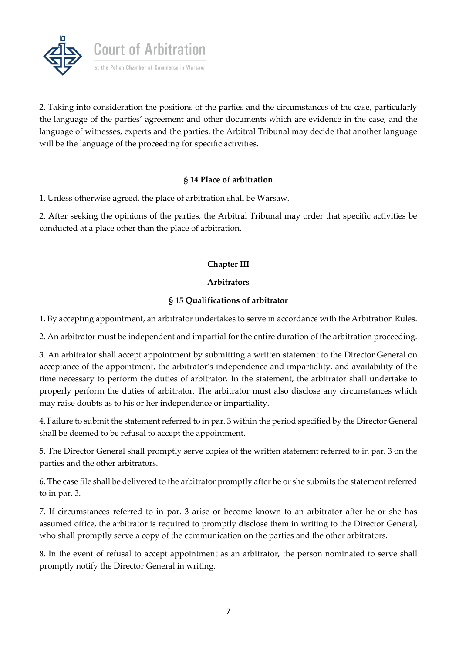

2. Taking into consideration the positions of the parties and the circumstances of the case, particularly the language of the parties' agreement and other documents which are evidence in the case, and the language of witnesses, experts and the parties, the Arbitral Tribunal may decide that another language will be the language of the proceeding for specific activities.

### **§ 14 Place of arbitration**

1. Unless otherwise agreed, the place of arbitration shall be Warsaw.

2. After seeking the opinions of the parties, the Arbitral Tribunal may order that specific activities be conducted at a place other than the place of arbitration.

# **Chapter III**

### **Arbitrators**

# **§ 15 Qualifications of arbitrator**

1. By accepting appointment, an arbitrator undertakes to serve in accordance with the Arbitration Rules.

2. An arbitrator must be independent and impartial for the entire duration of the arbitration proceeding.

3. An arbitrator shall accept appointment by submitting a written statement to the Director General on acceptance of the appointment, the arbitrator's independence and impartiality, and availability of the time necessary to perform the duties of arbitrator. In the statement, the arbitrator shall undertake to properly perform the duties of arbitrator. The arbitrator must also disclose any circumstances which may raise doubts as to his or her independence or impartiality.

4. Failure to submit the statement referred to in par. 3 within the period specified by the Director General shall be deemed to be refusal to accept the appointment.

5. The Director General shall promptly serve copies of the written statement referred to in par. 3 on the parties and the other arbitrators.

6. The case file shall be delivered to the arbitrator promptly after he or she submits the statement referred to in par. 3.

7. If circumstances referred to in par. 3 arise or become known to an arbitrator after he or she has assumed office, the arbitrator is required to promptly disclose them in writing to the Director General, who shall promptly serve a copy of the communication on the parties and the other arbitrators.

8. In the event of refusal to accept appointment as an arbitrator, the person nominated to serve shall promptly notify the Director General in writing.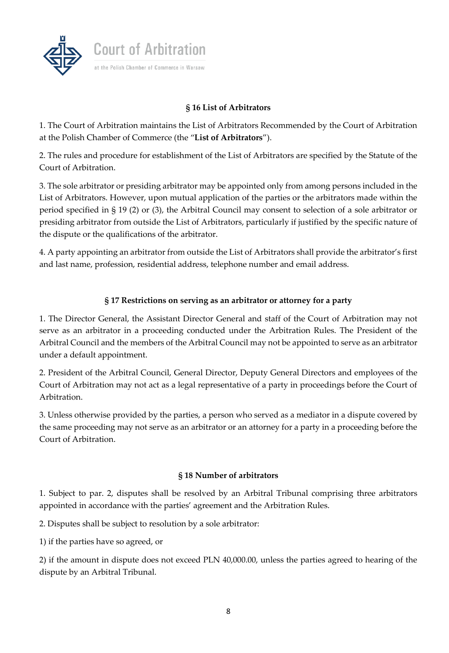

# **§ 16 List of Arbitrators**

1. The Court of Arbitration maintains the List of Arbitrators Recommended by the Court of Arbitration at the Polish Chamber of Commerce (the "**List of Arbitrators**").

2. The rules and procedure for establishment of the List of Arbitrators are specified by the Statute of the Court of Arbitration.

3. The sole arbitrator or presiding arbitrator may be appointed only from among persons included in the List of Arbitrators. However, upon mutual application of the parties or the arbitrators made within the period specified in § 19 (2) or (3), the Arbitral Council may consent to selection of a sole arbitrator or presiding arbitrator from outside the List of Arbitrators, particularly if justified by the specific nature of the dispute or the qualifications of the arbitrator.

4. A party appointing an arbitrator from outside the List of Arbitrators shall provide the arbitrator's first and last name, profession, residential address, telephone number and email address.

# **§ 17 Restrictions on serving as an arbitrator or attorney for a party**

1. The Director General, the Assistant Director General and staff of the Court of Arbitration may not serve as an arbitrator in a proceeding conducted under the Arbitration Rules. The President of the Arbitral Council and the members of the Arbitral Council may not be appointed to serve as an arbitrator under a default appointment.

2. President of the Arbitral Council, General Director, Deputy General Directors and employees of the Court of Arbitration may not act as a legal representative of a party in proceedings before the Court of Arbitration.

3. Unless otherwise provided by the parties, a person who served as a mediator in a dispute covered by the same proceeding may not serve as an arbitrator or an attorney for a party in a proceeding before the Court of Arbitration.

#### **§ 18 Number of arbitrators**

1. Subject to par. 2, disputes shall be resolved by an Arbitral Tribunal comprising three arbitrators appointed in accordance with the parties' agreement and the Arbitration Rules.

2. Disputes shall be subject to resolution by a sole arbitrator:

1) if the parties have so agreed, or

2) if the amount in dispute does not exceed PLN 40,000.00, unless the parties agreed to hearing of the dispute by an Arbitral Tribunal.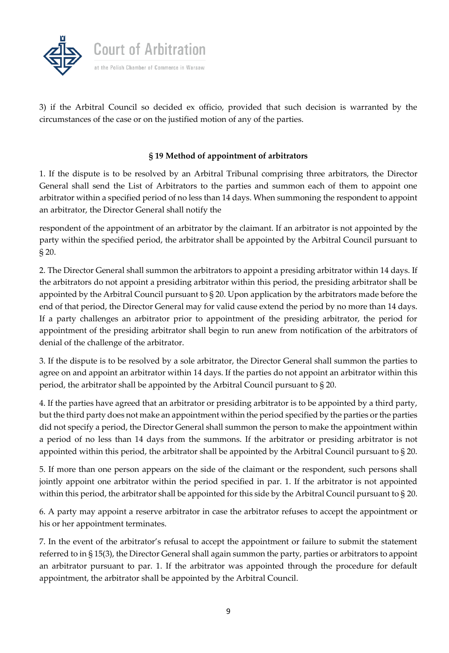

3) if the Arbitral Council so decided ex officio, provided that such decision is warranted by the circumstances of the case or on the justified motion of any of the parties.

# **§ 19 Method of appointment of arbitrators**

1. If the dispute is to be resolved by an Arbitral Tribunal comprising three arbitrators, the Director General shall send the List of Arbitrators to the parties and summon each of them to appoint one arbitrator within a specified period of no less than 14 days. When summoning the respondent to appoint an arbitrator, the Director General shall notify the

respondent of the appointment of an arbitrator by the claimant. If an arbitrator is not appointed by the party within the specified period, the arbitrator shall be appointed by the Arbitral Council pursuant to § 20.

2. The Director General shall summon the arbitrators to appoint a presiding arbitrator within 14 days. If the arbitrators do not appoint a presiding arbitrator within this period, the presiding arbitrator shall be appointed by the Arbitral Council pursuant to § 20. Upon application by the arbitrators made before the end of that period, the Director General may for valid cause extend the period by no more than 14 days. If a party challenges an arbitrator prior to appointment of the presiding arbitrator, the period for appointment of the presiding arbitrator shall begin to run anew from notification of the arbitrators of denial of the challenge of the arbitrator.

3. If the dispute is to be resolved by a sole arbitrator, the Director General shall summon the parties to agree on and appoint an arbitrator within 14 days. If the parties do not appoint an arbitrator within this period, the arbitrator shall be appointed by the Arbitral Council pursuant to § 20.

4. If the parties have agreed that an arbitrator or presiding arbitrator is to be appointed by a third party, but the third party does not make an appointment within the period specified by the parties or the parties did not specify a period, the Director General shall summon the person to make the appointment within a period of no less than 14 days from the summons. If the arbitrator or presiding arbitrator is not appointed within this period, the arbitrator shall be appointed by the Arbitral Council pursuant to § 20.

5. If more than one person appears on the side of the claimant or the respondent, such persons shall jointly appoint one arbitrator within the period specified in par. 1. If the arbitrator is not appointed within this period, the arbitrator shall be appointed for this side by the Arbitral Council pursuant to § 20.

6. A party may appoint a reserve arbitrator in case the arbitrator refuses to accept the appointment or his or her appointment terminates.

7. In the event of the arbitrator's refusal to accept the appointment or failure to submit the statement referred to in § 15(3), the Director General shall again summon the party, parties or arbitrators to appoint an arbitrator pursuant to par. 1. If the arbitrator was appointed through the procedure for default appointment, the arbitrator shall be appointed by the Arbitral Council.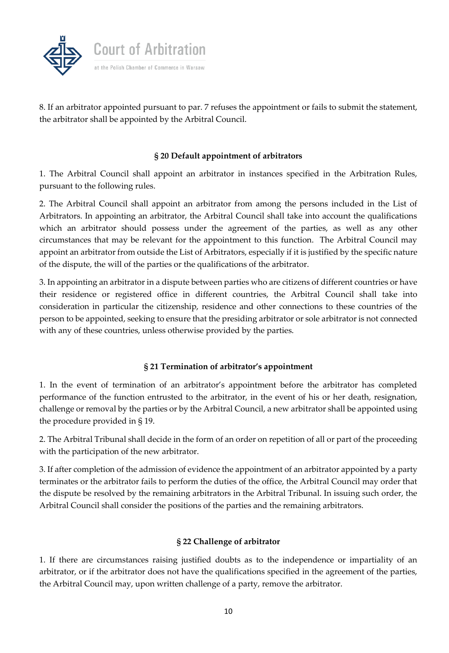

8. If an arbitrator appointed pursuant to par. 7 refuses the appointment or fails to submit the statement, the arbitrator shall be appointed by the Arbitral Council.

### **§ 20 Default appointment of arbitrators**

1. The Arbitral Council shall appoint an arbitrator in instances specified in the Arbitration Rules, pursuant to the following rules.

2. The Arbitral Council shall appoint an arbitrator from among the persons included in the List of Arbitrators. In appointing an arbitrator, the Arbitral Council shall take into account the qualifications which an arbitrator should possess under the agreement of the parties, as well as any other circumstances that may be relevant for the appointment to this function. The Arbitral Council may appoint an arbitrator from outside the List of Arbitrators, especially if it is justified by the specific nature of the dispute, the will of the parties or the qualifications of the arbitrator.

3. In appointing an arbitrator in a dispute between parties who are citizens of different countries or have their residence or registered office in different countries, the Arbitral Council shall take into consideration in particular the citizenship, residence and other connections to these countries of the person to be appointed, seeking to ensure that the presiding arbitrator or sole arbitrator is not connected with any of these countries, unless otherwise provided by the parties.

# **§ 21 Termination of arbitrator's appointment**

1. In the event of termination of an arbitrator's appointment before the arbitrator has completed performance of the function entrusted to the arbitrator, in the event of his or her death, resignation, challenge or removal by the parties or by the Arbitral Council, a new arbitrator shall be appointed using the procedure provided in § 19.

2. The Arbitral Tribunal shall decide in the form of an order on repetition of all or part of the proceeding with the participation of the new arbitrator.

3. If after completion of the admission of evidence the appointment of an arbitrator appointed by a party terminates or the arbitrator fails to perform the duties of the office, the Arbitral Council may order that the dispute be resolved by the remaining arbitrators in the Arbitral Tribunal. In issuing such order, the Arbitral Council shall consider the positions of the parties and the remaining arbitrators.

# **§ 22 Challenge of arbitrator**

1. If there are circumstances raising justified doubts as to the independence or impartiality of an arbitrator, or if the arbitrator does not have the qualifications specified in the agreement of the parties, the Arbitral Council may, upon written challenge of a party, remove the arbitrator.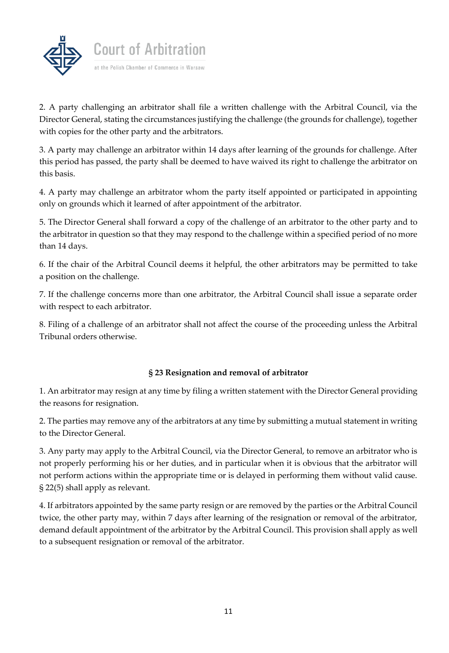

2. A party challenging an arbitrator shall file a written challenge with the Arbitral Council, via the Director General, stating the circumstances justifying the challenge (the grounds for challenge), together with copies for the other party and the arbitrators.

3. A party may challenge an arbitrator within 14 days after learning of the grounds for challenge. After this period has passed, the party shall be deemed to have waived its right to challenge the arbitrator on this basis.

4. A party may challenge an arbitrator whom the party itself appointed or participated in appointing only on grounds which it learned of after appointment of the arbitrator.

5. The Director General shall forward a copy of the challenge of an arbitrator to the other party and to the arbitrator in question so that they may respond to the challenge within a specified period of no more than 14 days.

6. If the chair of the Arbitral Council deems it helpful, the other arbitrators may be permitted to take a position on the challenge.

7. If the challenge concerns more than one arbitrator, the Arbitral Council shall issue a separate order with respect to each arbitrator.

8. Filing of a challenge of an arbitrator shall not affect the course of the proceeding unless the Arbitral Tribunal orders otherwise.

# **§ 23 Resignation and removal of arbitrator**

1. An arbitrator may resign at any time by filing a written statement with the Director General providing the reasons for resignation.

2. The parties may remove any of the arbitrators at any time by submitting a mutual statement in writing to the Director General.

3. Any party may apply to the Arbitral Council, via the Director General, to remove an arbitrator who is not properly performing his or her duties, and in particular when it is obvious that the arbitrator will not perform actions within the appropriate time or is delayed in performing them without valid cause. § 22(5) shall apply as relevant.

4. If arbitrators appointed by the same party resign or are removed by the parties or the Arbitral Council twice, the other party may, within 7 days after learning of the resignation or removal of the arbitrator, demand default appointment of the arbitrator by the Arbitral Council. This provision shall apply as well to a subsequent resignation or removal of the arbitrator.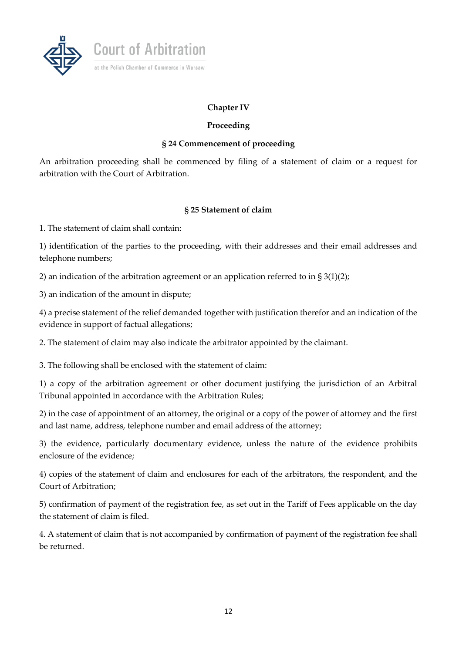

# **Chapter IV**

# **Proceeding**

### **§ 24 Commencement of proceeding**

An arbitration proceeding shall be commenced by filing of a statement of claim or a request for arbitration with the Court of Arbitration.

### **§ 25 Statement of claim**

1. The statement of claim shall contain:

1) identification of the parties to the proceeding, with their addresses and their email addresses and telephone numbers;

2) an indication of the arbitration agreement or an application referred to in  $\S 3(1)(2)$ ;

3) an indication of the amount in dispute;

4) a precise statement of the relief demanded together with justification therefor and an indication of the evidence in support of factual allegations;

2. The statement of claim may also indicate the arbitrator appointed by the claimant.

3. The following shall be enclosed with the statement of claim:

1) a copy of the arbitration agreement or other document justifying the jurisdiction of an Arbitral Tribunal appointed in accordance with the Arbitration Rules;

2) in the case of appointment of an attorney, the original or a copy of the power of attorney and the first and last name, address, telephone number and email address of the attorney;

3) the evidence, particularly documentary evidence, unless the nature of the evidence prohibits enclosure of the evidence;

4) copies of the statement of claim and enclosures for each of the arbitrators, the respondent, and the Court of Arbitration;

5) confirmation of payment of the registration fee, as set out in the Tariff of Fees applicable on the day the statement of claim is filed.

4. A statement of claim that is not accompanied by confirmation of payment of the registration fee shall be returned.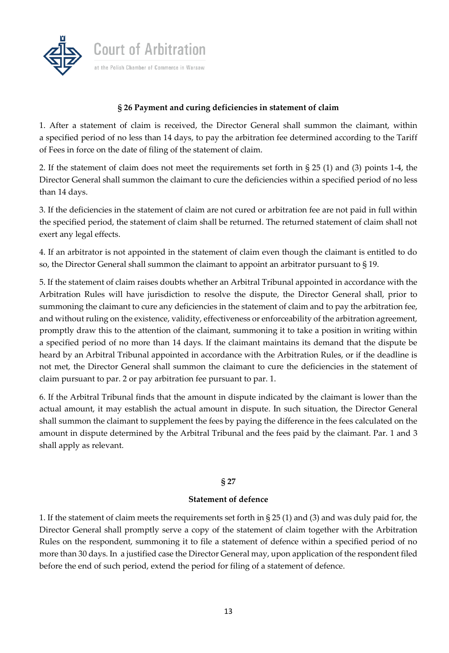

# **§ 26 Payment and curing deficiencies in statement of claim**

1. After a statement of claim is received, the Director General shall summon the claimant, within a specified period of no less than 14 days, to pay the arbitration fee determined according to the Tariff of Fees in force on the date of filing of the statement of claim.

2. If the statement of claim does not meet the requirements set forth in § 25 (1) and (3) points 1-4, the Director General shall summon the claimant to cure the deficiencies within a specified period of no less than 14 days.

3. If the deficiencies in the statement of claim are not cured or arbitration fee are not paid in full within the specified period, the statement of claim shall be returned. The returned statement of claim shall not exert any legal effects.

4. If an arbitrator is not appointed in the statement of claim even though the claimant is entitled to do so, the Director General shall summon the claimant to appoint an arbitrator pursuant to § 19.

5. If the statement of claim raises doubts whether an Arbitral Tribunal appointed in accordance with the Arbitration Rules will have jurisdiction to resolve the dispute, the Director General shall, prior to summoning the claimant to cure any deficiencies in the statement of claim and to pay the arbitration fee, and without ruling on the existence, validity, effectiveness or enforceability of the arbitration agreement, promptly draw this to the attention of the claimant, summoning it to take a position in writing within a specified period of no more than 14 days. If the claimant maintains its demand that the dispute be heard by an Arbitral Tribunal appointed in accordance with the Arbitration Rules, or if the deadline is not met, the Director General shall summon the claimant to cure the deficiencies in the statement of claim pursuant to par. 2 or pay arbitration fee pursuant to par. 1.

6. If the Arbitral Tribunal finds that the amount in dispute indicated by the claimant is lower than the actual amount, it may establish the actual amount in dispute. In such situation, the Director General shall summon the claimant to supplement the fees by paying the difference in the fees calculated on the amount in dispute determined by the Arbitral Tribunal and the fees paid by the claimant. Par. 1 and 3 shall apply as relevant.

#### **§ 27**

#### **Statement of defence**

1. If the statement of claim meets the requirements set forth in § 25 (1) and (3) and was duly paid for, the Director General shall promptly serve a copy of the statement of claim together with the Arbitration Rules on the respondent, summoning it to file a statement of defence within a specified period of no more than 30 days. In a justified case the Director General may, upon application of the respondent filed before the end of such period, extend the period for filing of a statement of defence.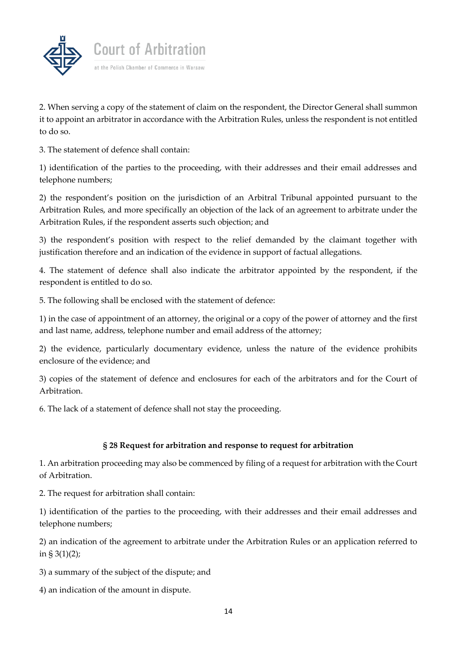

2. When serving a copy of the statement of claim on the respondent, the Director General shall summon it to appoint an arbitrator in accordance with the Arbitration Rules, unless the respondent is not entitled to do so.

3. The statement of defence shall contain:

1) identification of the parties to the proceeding, with their addresses and their email addresses and telephone numbers;

2) the respondent's position on the jurisdiction of an Arbitral Tribunal appointed pursuant to the Arbitration Rules, and more specifically an objection of the lack of an agreement to arbitrate under the Arbitration Rules, if the respondent asserts such objection; and

3) the respondent's position with respect to the relief demanded by the claimant together with justification therefore and an indication of the evidence in support of factual allegations.

4. The statement of defence shall also indicate the arbitrator appointed by the respondent, if the respondent is entitled to do so.

5. The following shall be enclosed with the statement of defence:

1) in the case of appointment of an attorney, the original or a copy of the power of attorney and the first and last name, address, telephone number and email address of the attorney;

2) the evidence, particularly documentary evidence, unless the nature of the evidence prohibits enclosure of the evidence; and

3) copies of the statement of defence and enclosures for each of the arbitrators and for the Court of Arbitration.

6. The lack of a statement of defence shall not stay the proceeding.

#### **§ 28 Request for arbitration and response to request for arbitration**

1. An arbitration proceeding may also be commenced by filing of a request for arbitration with the Court of Arbitration.

2. The request for arbitration shall contain:

1) identification of the parties to the proceeding, with their addresses and their email addresses and telephone numbers;

2) an indication of the agreement to arbitrate under the Arbitration Rules or an application referred to in § 3(1)(2);

3) a summary of the subject of the dispute; and

4) an indication of the amount in dispute.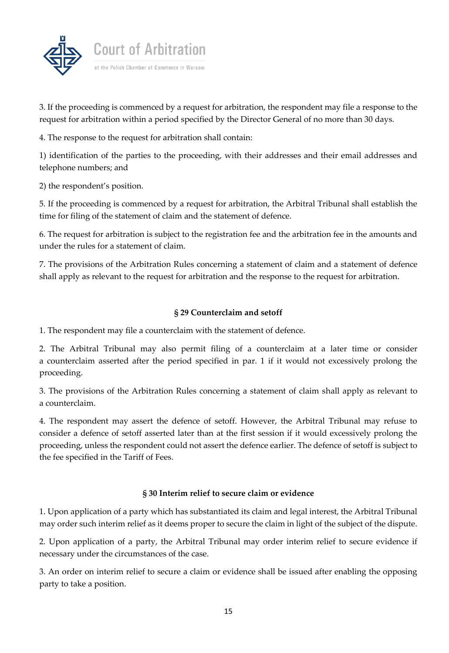

3. If the proceeding is commenced by a request for arbitration, the respondent may file a response to the request for arbitration within a period specified by the Director General of no more than 30 days.

4. The response to the request for arbitration shall contain:

1) identification of the parties to the proceeding, with their addresses and their email addresses and telephone numbers; and

2) the respondent's position.

5. If the proceeding is commenced by a request for arbitration, the Arbitral Tribunal shall establish the time for filing of the statement of claim and the statement of defence.

6. The request for arbitration is subject to the registration fee and the arbitration fee in the amounts and under the rules for a statement of claim.

7. The provisions of the Arbitration Rules concerning a statement of claim and a statement of defence shall apply as relevant to the request for arbitration and the response to the request for arbitration.

### **§ 29 Counterclaim and setoff**

1. The respondent may file a counterclaim with the statement of defence.

2. The Arbitral Tribunal may also permit filing of a counterclaim at a later time or consider a counterclaim asserted after the period specified in par. 1 if it would not excessively prolong the proceeding.

3. The provisions of the Arbitration Rules concerning a statement of claim shall apply as relevant to a counterclaim.

4. The respondent may assert the defence of setoff. However, the Arbitral Tribunal may refuse to consider a defence of setoff asserted later than at the first session if it would excessively prolong the proceeding, unless the respondent could not assert the defence earlier. The defence of setoff is subject to the fee specified in the Tariff of Fees.

#### **§ 30 Interim relief to secure claim or evidence**

1. Upon application of a party which has substantiated its claim and legal interest, the Arbitral Tribunal may order such interim relief as it deems proper to secure the claim in light of the subject of the dispute.

2. Upon application of a party, the Arbitral Tribunal may order interim relief to secure evidence if necessary under the circumstances of the case.

3. An order on interim relief to secure a claim or evidence shall be issued after enabling the opposing party to take a position.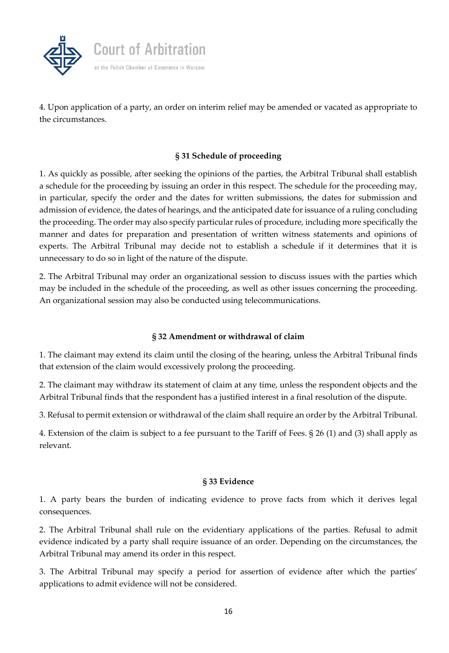

4. Upon application of a party, an order on interim relief may be amended or vacated as appropriate to the circumstances.

### **§ 31 Schedule of proceeding**

1. As quickly as possible, after seeking the opinions of the parties, the Arbitral Tribunal shall establish a schedule for the proceeding by issuing an order in this respect. The schedule for the proceeding may, in particular, specify the order and the dates for written submissions, the dates for submission and admission of evidence, the dates of hearings, and the anticipated date for issuance of a ruling concluding the proceeding. The order may also specify particular rules of procedure, including more specifically the manner and dates for preparation and presentation of written witness statements and opinions of experts. The Arbitral Tribunal may decide not to establish a schedule if it determines that it is unnecessary to do so in light of the nature of the dispute.

2. The Arbitral Tribunal may order an organizational session to discuss issues with the parties which may be included in the schedule of the proceeding, as well as other issues concerning the proceeding. An organizational session may also be conducted using telecommunications.

#### **§ 32 Amendment or withdrawal of claim**

1. The claimant may extend its claim until the closing of the hearing, unless the Arbitral Tribunal finds that extension of the claim would excessively prolong the proceeding.

2. The claimant may withdraw its statement of claim at any time, unless the respondent objects and the Arbitral Tribunal finds that the respondent has a justified interest in a final resolution of the dispute.

3. Refusal to permit extension or withdrawal of the claim shall require an order by the Arbitral Tribunal.

4. Extension of the claim is subject to a fee pursuant to the Tariff of Fees. § 26 (1) and (3) shall apply as relevant.

#### **§ 33 Evidence**

1. A party bears the burden of indicating evidence to prove facts from which it derives legal consequences.

2. The Arbitral Tribunal shall rule on the evidentiary applications of the parties. Refusal to admit evidence indicated by a party shall require issuance of an order. Depending on the circumstances, the Arbitral Tribunal may amend its order in this respect.

3. The Arbitral Tribunal may specify a period for assertion of evidence after which the parties' applications to admit evidence will not be considered.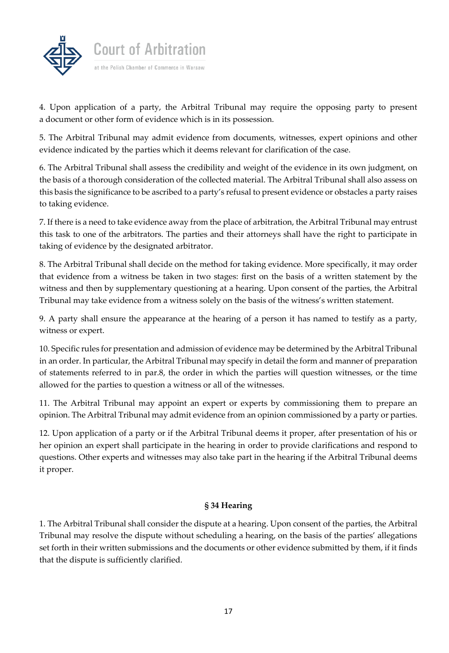

4. Upon application of a party, the Arbitral Tribunal may require the opposing party to present a document or other form of evidence which is in its possession.

5. The Arbitral Tribunal may admit evidence from documents, witnesses, expert opinions and other evidence indicated by the parties which it deems relevant for clarification of the case.

6. The Arbitral Tribunal shall assess the credibility and weight of the evidence in its own judgment, on the basis of a thorough consideration of the collected material. The Arbitral Tribunal shall also assess on this basis the significance to be ascribed to a party's refusal to present evidence or obstacles a party raises to taking evidence.

7. If there is a need to take evidence away from the place of arbitration, the Arbitral Tribunal may entrust this task to one of the arbitrators. The parties and their attorneys shall have the right to participate in taking of evidence by the designated arbitrator.

8. The Arbitral Tribunal shall decide on the method for taking evidence. More specifically, it may order that evidence from a witness be taken in two stages: first on the basis of a written statement by the witness and then by supplementary questioning at a hearing. Upon consent of the parties, the Arbitral Tribunal may take evidence from a witness solely on the basis of the witness's written statement.

9. A party shall ensure the appearance at the hearing of a person it has named to testify as a party, witness or expert.

10. Specific rules for presentation and admission of evidence may be determined by the Arbitral Tribunal in an order. In particular, the Arbitral Tribunal may specify in detail the form and manner of preparation of statements referred to in par.8, the order in which the parties will question witnesses, or the time allowed for the parties to question a witness or all of the witnesses.

11. The Arbitral Tribunal may appoint an expert or experts by commissioning them to prepare an opinion. The Arbitral Tribunal may admit evidence from an opinion commissioned by a party or parties.

12. Upon application of a party or if the Arbitral Tribunal deems it proper, after presentation of his or her opinion an expert shall participate in the hearing in order to provide clarifications and respond to questions. Other experts and witnesses may also take part in the hearing if the Arbitral Tribunal deems it proper.

# **§ 34 Hearing**

1. The Arbitral Tribunal shall consider the dispute at a hearing. Upon consent of the parties, the Arbitral Tribunal may resolve the dispute without scheduling a hearing, on the basis of the parties' allegations set forth in their written submissions and the documents or other evidence submitted by them, if it finds that the dispute is sufficiently clarified.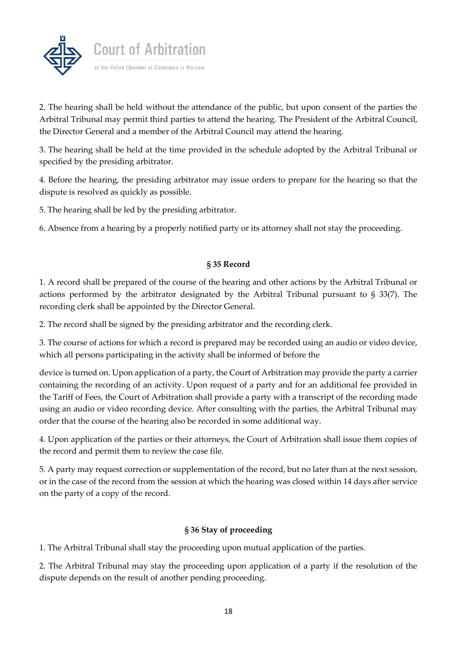

2. The hearing shall be held without the attendance of the public, but upon consent of the parties the Arbitral Tribunal may permit third parties to attend the hearing. The President of the Arbitral Council, the Director General and a member of the Arbitral Council may attend the hearing.

3. The hearing shall be held at the time provided in the schedule adopted by the Arbitral Tribunal or specified by the presiding arbitrator.

4. Before the hearing, the presiding arbitrator may issue orders to prepare for the hearing so that the dispute is resolved as quickly as possible.

5. The hearing shall be led by the presiding arbitrator.

6. Absence from a hearing by a properly notified party or its attorney shall not stay the proceeding.

### **§ 35 Record**

1. A record shall be prepared of the course of the hearing and other actions by the Arbitral Tribunal or actions performed by the arbitrator designated by the Arbitral Tribunal pursuant to § 33(7). The recording clerk shall be appointed by the Director General.

2. The record shall be signed by the presiding arbitrator and the recording clerk.

3. The course of actions for which a record is prepared may be recorded using an audio or video device, which all persons participating in the activity shall be informed of before the

device is turned on. Upon application of a party, the Court of Arbitration may provide the party a carrier containing the recording of an activity. Upon request of a party and for an additional fee provided in the Tariff of Fees, the Court of Arbitration shall provide a party with a transcript of the recording made using an audio or video recording device. After consulting with the parties, the Arbitral Tribunal may order that the course of the hearing also be recorded in some additional way.

4. Upon application of the parties or their attorneys, the Court of Arbitration shall issue them copies of the record and permit them to review the case file.

5. A party may request correction or supplementation of the record, but no later than at the next session, or in the case of the record from the session at which the hearing was closed within 14 days after service on the party of a copy of the record.

# **§ 36 Stay of proceeding**

1. The Arbitral Tribunal shall stay the proceeding upon mutual application of the parties.

2. The Arbitral Tribunal may stay the proceeding upon application of a party if the resolution of the dispute depends on the result of another pending proceeding.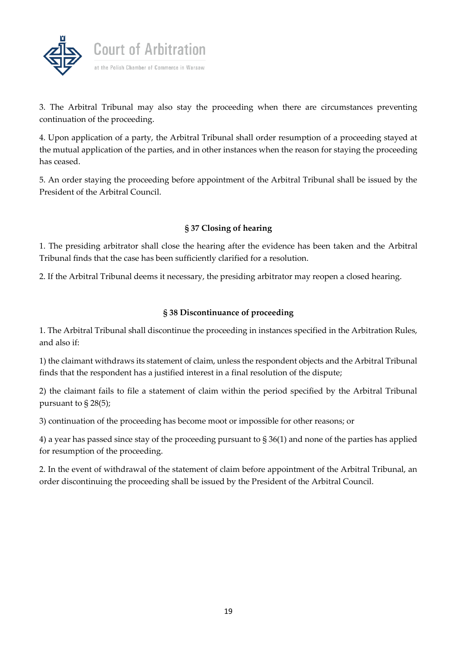

3. The Arbitral Tribunal may also stay the proceeding when there are circumstances preventing continuation of the proceeding.

4. Upon application of a party, the Arbitral Tribunal shall order resumption of a proceeding stayed at the mutual application of the parties, and in other instances when the reason for staying the proceeding has ceased.

5. An order staying the proceeding before appointment of the Arbitral Tribunal shall be issued by the President of the Arbitral Council.

# **§ 37 Closing of hearing**

1. The presiding arbitrator shall close the hearing after the evidence has been taken and the Arbitral Tribunal finds that the case has been sufficiently clarified for a resolution.

2. If the Arbitral Tribunal deems it necessary, the presiding arbitrator may reopen a closed hearing.

# **§ 38 Discontinuance of proceeding**

1. The Arbitral Tribunal shall discontinue the proceeding in instances specified in the Arbitration Rules, and also if:

1) the claimant withdraws its statement of claim, unless the respondent objects and the Arbitral Tribunal finds that the respondent has a justified interest in a final resolution of the dispute;

2) the claimant fails to file a statement of claim within the period specified by the Arbitral Tribunal pursuant to § 28(5);

3) continuation of the proceeding has become moot or impossible for other reasons; or

4) a year has passed since stay of the proceeding pursuant to § 36(1) and none of the parties has applied for resumption of the proceeding.

2. In the event of withdrawal of the statement of claim before appointment of the Arbitral Tribunal, an order discontinuing the proceeding shall be issued by the President of the Arbitral Council.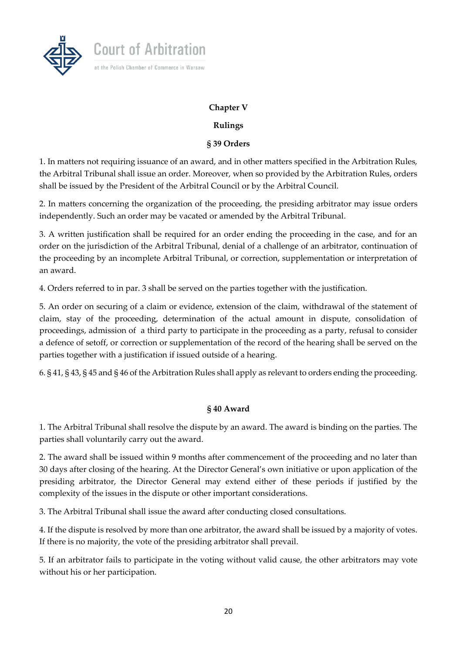



**Court of Arbitration** 

at the Polish Chamber of Commerce in Warsaw

# **Rulings**

### **§ 39 Orders**

1. In matters not requiring issuance of an award, and in other matters specified in the Arbitration Rules, the Arbitral Tribunal shall issue an order. Moreover, when so provided by the Arbitration Rules, orders shall be issued by the President of the Arbitral Council or by the Arbitral Council.

2. In matters concerning the organization of the proceeding, the presiding arbitrator may issue orders independently. Such an order may be vacated or amended by the Arbitral Tribunal.

3. A written justification shall be required for an order ending the proceeding in the case, and for an order on the jurisdiction of the Arbitral Tribunal, denial of a challenge of an arbitrator, continuation of the proceeding by an incomplete Arbitral Tribunal, or correction, supplementation or interpretation of an award.

4. Orders referred to in par. 3 shall be served on the parties together with the justification.

5. An order on securing of a claim or evidence, extension of the claim, withdrawal of the statement of claim, stay of the proceeding, determination of the actual amount in dispute, consolidation of proceedings, admission of a third party to participate in the proceeding as a party, refusal to consider a defence of setoff, or correction or supplementation of the record of the hearing shall be served on the parties together with a justification if issued outside of a hearing.

6. § 41, § 43, § 45 and § 46 of the Arbitration Rules shall apply as relevant to orders ending the proceeding.

#### **§ 40 Award**

1. The Arbitral Tribunal shall resolve the dispute by an award. The award is binding on the parties. The parties shall voluntarily carry out the award.

2. The award shall be issued within 9 months after commencement of the proceeding and no later than 30 days after closing of the hearing. At the Director General's own initiative or upon application of the presiding arbitrator, the Director General may extend either of these periods if justified by the complexity of the issues in the dispute or other important considerations.

3. The Arbitral Tribunal shall issue the award after conducting closed consultations.

4. If the dispute is resolved by more than one arbitrator, the award shall be issued by a majority of votes. If there is no majority, the vote of the presiding arbitrator shall prevail.

5. If an arbitrator fails to participate in the voting without valid cause, the other arbitrators may vote without his or her participation.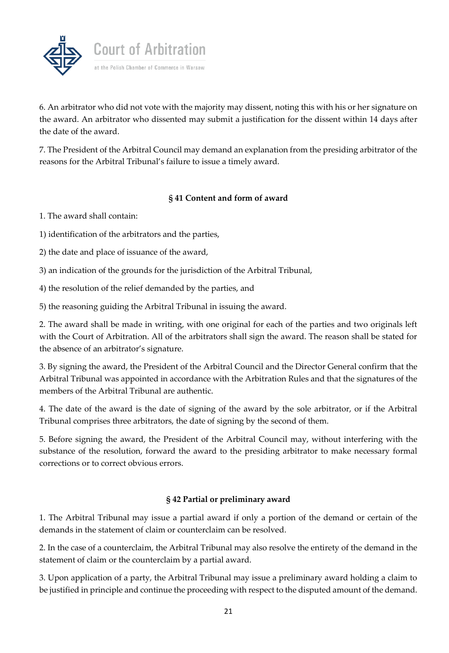

6. An arbitrator who did not vote with the majority may dissent, noting this with his or her signature on the award. An arbitrator who dissented may submit a justification for the dissent within 14 days after the date of the award.

7. The President of the Arbitral Council may demand an explanation from the presiding arbitrator of the reasons for the Arbitral Tribunal's failure to issue a timely award.

# **§ 41 Content and form of award**

1. The award shall contain:

1) identification of the arbitrators and the parties,

2) the date and place of issuance of the award,

3) an indication of the grounds for the jurisdiction of the Arbitral Tribunal,

4) the resolution of the relief demanded by the parties, and

5) the reasoning guiding the Arbitral Tribunal in issuing the award.

2. The award shall be made in writing, with one original for each of the parties and two originals left with the Court of Arbitration. All of the arbitrators shall sign the award. The reason shall be stated for the absence of an arbitrator's signature.

3. By signing the award, the President of the Arbitral Council and the Director General confirm that the Arbitral Tribunal was appointed in accordance with the Arbitration Rules and that the signatures of the members of the Arbitral Tribunal are authentic.

4. The date of the award is the date of signing of the award by the sole arbitrator, or if the Arbitral Tribunal comprises three arbitrators, the date of signing by the second of them.

5. Before signing the award, the President of the Arbitral Council may, without interfering with the substance of the resolution, forward the award to the presiding arbitrator to make necessary formal corrections or to correct obvious errors.

# **§ 42 Partial or preliminary award**

1. The Arbitral Tribunal may issue a partial award if only a portion of the demand or certain of the demands in the statement of claim or counterclaim can be resolved.

2. In the case of a counterclaim, the Arbitral Tribunal may also resolve the entirety of the demand in the statement of claim or the counterclaim by a partial award.

3. Upon application of a party, the Arbitral Tribunal may issue a preliminary award holding a claim to be justified in principle and continue the proceeding with respect to the disputed amount of the demand.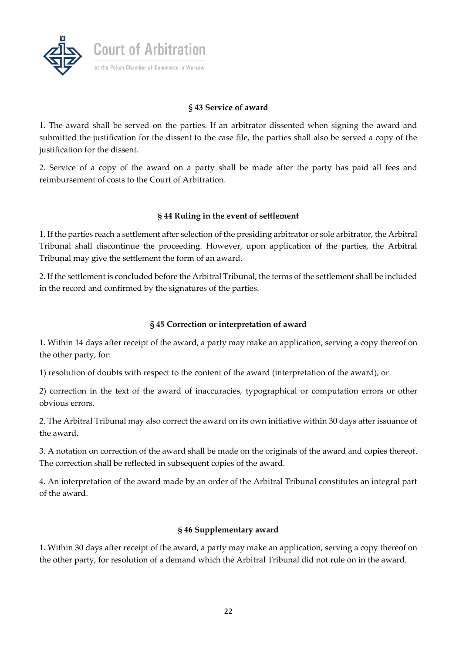

# **§ 43 Service of award**

1. The award shall be served on the parties. If an arbitrator dissented when signing the award and submitted the justification for the dissent to the case file, the parties shall also be served a copy of the justification for the dissent.

2. Service of a copy of the award on a party shall be made after the party has paid all fees and reimbursement of costs to the Court of Arbitration.

#### **§ 44 Ruling in the event of settlement**

1. If the parties reach a settlement after selection of the presiding arbitrator or sole arbitrator, the Arbitral Tribunal shall discontinue the proceeding. However, upon application of the parties, the Arbitral Tribunal may give the settlement the form of an award.

2. If the settlement is concluded before the Arbitral Tribunal, the terms of the settlement shall be included in the record and confirmed by the signatures of the parties.

### **§ 45 Correction or interpretation of award**

1. Within 14 days after receipt of the award, a party may make an application, serving a copy thereof on the other party, for:

1) resolution of doubts with respect to the content of the award (interpretation of the award), or

2) correction in the text of the award of inaccuracies, typographical or computation errors or other obvious errors.

2. The Arbitral Tribunal may also correct the award on its own initiative within 30 days after issuance of the award.

3. A notation on correction of the award shall be made on the originals of the award and copies thereof. The correction shall be reflected in subsequent copies of the award.

4. An interpretation of the award made by an order of the Arbitral Tribunal constitutes an integral part of the award.

#### **§ 46 Supplementary award**

1. Within 30 days after receipt of the award, a party may make an application, serving a copy thereof on the other party, for resolution of a demand which the Arbitral Tribunal did not rule on in the award.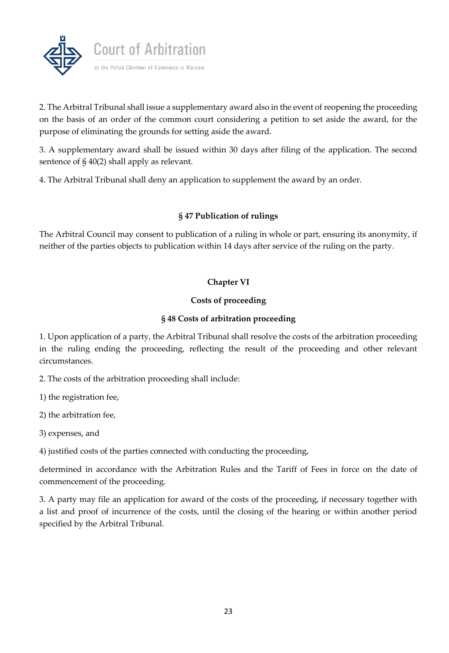

2. The Arbitral Tribunal shall issue a supplementary award also in the event of reopening the proceeding on the basis of an order of the common court considering a petition to set aside the award, for the purpose of eliminating the grounds for setting aside the award.

3. A supplementary award shall be issued within 30 days after filing of the application. The second sentence of § 40(2) shall apply as relevant.

4. The Arbitral Tribunal shall deny an application to supplement the award by an order.

# **§ 47 Publication of rulings**

The Arbitral Council may consent to publication of a ruling in whole or part, ensuring its anonymity, if neither of the parties objects to publication within 14 days after service of the ruling on the party.

# **Chapter VI**

### **Costs of proceeding**

### **§ 48 Costs of arbitration proceeding**

1. Upon application of a party, the Arbitral Tribunal shall resolve the costs of the arbitration proceeding in the ruling ending the proceeding, reflecting the result of the proceeding and other relevant circumstances.

2. The costs of the arbitration proceeding shall include:

1) the registration fee,

2) the arbitration fee,

3) expenses, and

4) justified costs of the parties connected with conducting the proceeding,

determined in accordance with the Arbitration Rules and the Tariff of Fees in force on the date of commencement of the proceeding.

3. A party may file an application for award of the costs of the proceeding, if necessary together with a list and proof of incurrence of the costs, until the closing of the hearing or within another period specified by the Arbitral Tribunal.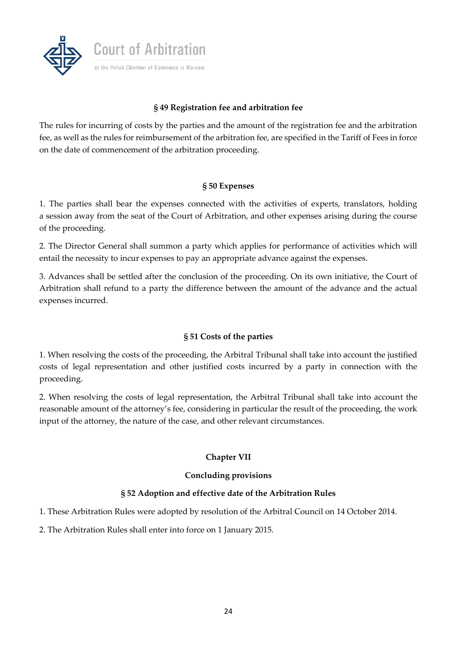

### **§ 49 Registration fee and arbitration fee**

The rules for incurring of costs by the parties and the amount of the registration fee and the arbitration fee, as well as the rules for reimbursement of the arbitration fee, are specified in the Tariff of Fees in force on the date of commencement of the arbitration proceeding.

#### **§ 50 Expenses**

1. The parties shall bear the expenses connected with the activities of experts, translators, holding a session away from the seat of the Court of Arbitration, and other expenses arising during the course of the proceeding.

2. The Director General shall summon a party which applies for performance of activities which will entail the necessity to incur expenses to pay an appropriate advance against the expenses.

3. Advances shall be settled after the conclusion of the proceeding. On its own initiative, the Court of Arbitration shall refund to a party the difference between the amount of the advance and the actual expenses incurred.

#### **§ 51 Costs of the parties**

1. When resolving the costs of the proceeding, the Arbitral Tribunal shall take into account the justified costs of legal representation and other justified costs incurred by a party in connection with the proceeding.

2. When resolving the costs of legal representation, the Arbitral Tribunal shall take into account the reasonable amount of the attorney's fee, considering in particular the result of the proceeding, the work input of the attorney, the nature of the case, and other relevant circumstances.

# **Chapter VII**

# **Concluding provisions**

# **§ 52 Adoption and effective date of the Arbitration Rules**

1. These Arbitration Rules were adopted by resolution of the Arbitral Council on 14 October 2014.

2. The Arbitration Rules shall enter into force on 1 January 2015.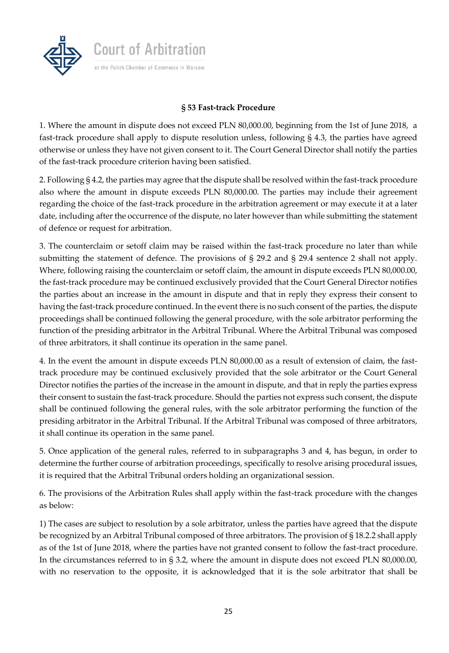

### **§ 53 Fast-track Procedure**

1. Where the amount in dispute does not exceed PLN 80,000.00, beginning from the 1st of June 2018, a fast-track procedure shall apply to dispute resolution unless, following § 4.3, the parties have agreed otherwise or unless they have not given consent to it. The Court General Director shall notify the parties of the fast-track procedure criterion having been satisfied.

2. Following § 4.2, the parties may agree that the dispute shall be resolved within the fast-track procedure also where the amount in dispute exceeds PLN 80,000.00. The parties may include their agreement regarding the choice of the fast-track procedure in the arbitration agreement or may execute it at a later date, including after the occurrence of the dispute, no later however than while submitting the statement of defence or request for arbitration.

3. The counterclaim or setoff claim may be raised within the fast-track procedure no later than while submitting the statement of defence. The provisions of § 29.2 and § 29.4 sentence 2 shall not apply. Where, following raising the counterclaim or setoff claim, the amount in dispute exceeds PLN 80,000.00, the fast-track procedure may be continued exclusively provided that the Court General Director notifies the parties about an increase in the amount in dispute and that in reply they express their consent to having the fast-track procedure continued. In the event there is no such consent of the parties, the dispute proceedings shall be continued following the general procedure, with the sole arbitrator performing the function of the presiding arbitrator in the Arbitral Tribunal. Where the Arbitral Tribunal was composed of three arbitrators, it shall continue its operation in the same panel.

4. In the event the amount in dispute exceeds PLN 80,000.00 as a result of extension of claim, the fasttrack procedure may be continued exclusively provided that the sole arbitrator or the Court General Director notifies the parties of the increase in the amount in dispute, and that in reply the parties express their consent to sustain the fast-track procedure. Should the parties not express such consent, the dispute shall be continued following the general rules, with the sole arbitrator performing the function of the presiding arbitrator in the Arbitral Tribunal. If the Arbitral Tribunal was composed of three arbitrators, it shall continue its operation in the same panel.

5. Once application of the general rules, referred to in subparagraphs 3 and 4, has begun, in order to determine the further course of arbitration proceedings, specifically to resolve arising procedural issues, it is required that the Arbitral Tribunal orders holding an organizational session.

6. The provisions of the Arbitration Rules shall apply within the fast-track procedure with the changes as below:

1) The cases are subject to resolution by a sole arbitrator, unless the parties have agreed that the dispute be recognized by an Arbitral Tribunal composed of three arbitrators. The provision of § 18.2.2 shall apply as of the 1st of June 2018, where the parties have not granted consent to follow the fast-tract procedure. In the circumstances referred to in § 3.2, where the amount in dispute does not exceed PLN 80,000.00, with no reservation to the opposite, it is acknowledged that it is the sole arbitrator that shall be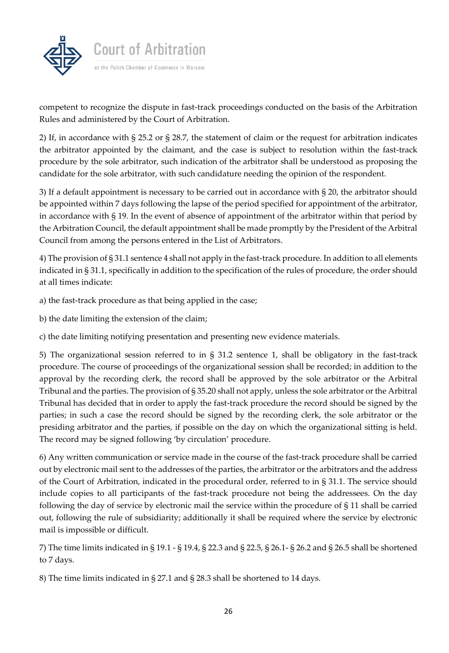

competent to recognize the dispute in fast-track proceedings conducted on the basis of the Arbitration Rules and administered by the Court of Arbitration.

2) If, in accordance with § 25.2 or § 28.7, the statement of claim or the request for arbitration indicates the arbitrator appointed by the claimant, and the case is subject to resolution within the fast-track procedure by the sole arbitrator, such indication of the arbitrator shall be understood as proposing the candidate for the sole arbitrator, with such candidature needing the opinion of the respondent.

3) If a default appointment is necessary to be carried out in accordance with § 20, the arbitrator should be appointed within 7 days following the lapse of the period specified for appointment of the arbitrator, in accordance with § 19. In the event of absence of appointment of the arbitrator within that period by the Arbitration Council, the default appointment shall be made promptly by the President of the Arbitral Council from among the persons entered in the List of Arbitrators.

4) The provision of § 31.1 sentence 4 shall not apply in the fast-track procedure. In addition to all elements indicated in § 31.1, specifically in addition to the specification of the rules of procedure, the order should at all times indicate:

a) the fast-track procedure as that being applied in the case;

b) the date limiting the extension of the claim;

c) the date limiting notifying presentation and presenting new evidence materials.

5) The organizational session referred to in § 31.2 sentence 1, shall be obligatory in the fast-track procedure. The course of proceedings of the organizational session shall be recorded; in addition to the approval by the recording clerk, the record shall be approved by the sole arbitrator or the Arbitral Tribunal and the parties. The provision of § 35.20 shall not apply, unless the sole arbitrator or the Arbitral Tribunal has decided that in order to apply the fast-track procedure the record should be signed by the parties; in such a case the record should be signed by the recording clerk, the sole arbitrator or the presiding arbitrator and the parties, if possible on the day on which the organizational sitting is held. The record may be signed following 'by circulation' procedure.

6) Any written communication or service made in the course of the fast-track procedure shall be carried out by electronic mail sent to the addresses of the parties, the arbitrator or the arbitrators and the address of the Court of Arbitration, indicated in the procedural order, referred to in § 31.1. The service should include copies to all participants of the fast-track procedure not being the addressees. On the day following the day of service by electronic mail the service within the procedure of § 11 shall be carried out, following the rule of subsidiarity; additionally it shall be required where the service by electronic mail is impossible or difficult.

7) The time limits indicated in § 19.1 - § 19.4, § 22.3 and § 22.5, § 26.1- § 26.2 and § 26.5 shall be shortened to 7 days.

8) The time limits indicated in § 27.1 and § 28.3 shall be shortened to 14 days.